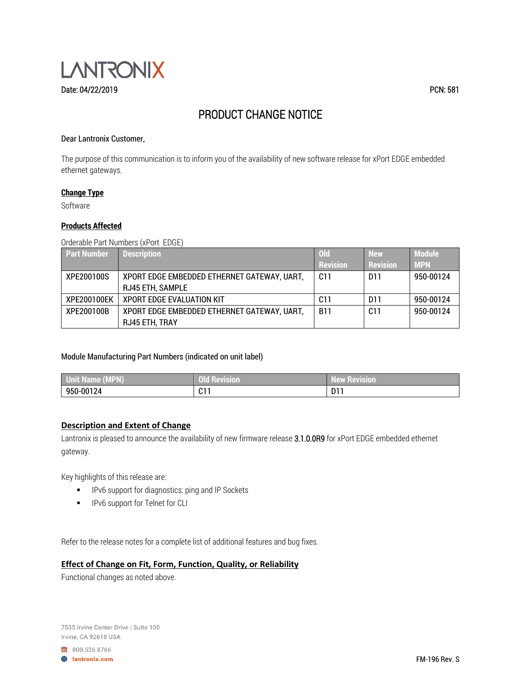

# PRODUCT CHANGE NOTICE

#### Dear Lantronix Customer,

The purpose of this communication is to inform you of the availability of new software release for xPort EDGE embedded ethernet gateways.

#### **Change Type**

Software

#### **Products Affected**

Orderable Part Numbers (xPort EDGE)

| <b>Part Number</b> | <b>Description</b>                          | <b>Old</b>      | <b>New</b>      | <b>Module</b> |
|--------------------|---------------------------------------------|-----------------|-----------------|---------------|
|                    |                                             | <b>Revision</b> | <b>Revision</b> | <b>MPN</b>    |
| XPE200100S         | XPORT EDGE EMBEDDED ETHERNET GATEWAY, UART, | C <sub>11</sub> | D <sub>11</sub> | 950-00124     |
|                    | <b>RJ45 ETH, SAMPLE</b>                     |                 |                 |               |
| XPE200100EK        | <b>XPORT EDGE EVALUATION KIT</b>            | C11             | D <sub>11</sub> | 950-00124     |
| XPE200100B         | XPORT EDGE EMBEDDED ETHERNET GATEWAY, UART, | <b>B11</b>      | C <sub>11</sub> | 950-00124     |
|                    | RJ45 ETH, TRAY                              |                 |                 |               |

## Module Manufacturing Part Numbers (indicated on unit label)

| <b>Unit Name (MPN)</b> | <b>The Company's Company</b><br>n 1 F<br>I Kevision<br>U LI | --<br><b>Revision</b><br>I AWT<br>IN T⊶N VII |
|------------------------|-------------------------------------------------------------|----------------------------------------------|
| 950-00124              | 017<br><b>UI.</b>                                           | . n11<br>ווט                                 |

## **Description and Extent of Change**

Lantronix is pleased to announce the availability of new firmware release 3.1.0.0R9 for xPort EDGE embedded ethernet gateway.

Key highlights of this release are:

- IPv6 support for diagnostics: ping and IP Sockets
- IPv6 support for Telnet for CLI

Refer to the release notes for a complete list of additional features and bug fixes.

## **Effect of Change on Fit, Form, Function, Quality, or Reliability**

Functional changes as noted above.

7535 Irvine Center Drive | Suite 100 Irvine, CA 92618 USA

800.526.8766

**A** lantronix.com